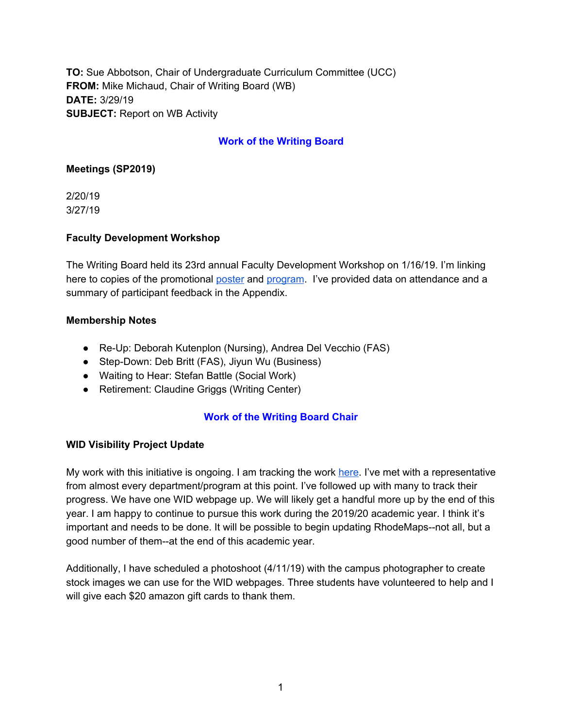**TO:** Sue Abbotson, Chair of Undergraduate Curriculum Committee (UCC) **FROM:** Mike Michaud, Chair of Writing Board (WB) **DATE:** 3/29/19 **SUBJECT:** Report on WB Activity

## **Work of the Writing Board**

### **Meetings (SP2019)**

2/20/19 3/27/19

### **Faculty Development Workshop**

The Writing Board held its 23rd annual Faculty Development Workshop on 1/16/19. I'm linking here to copies of the promotional [poster](https://drive.google.com/file/d/1Ol5DFstP09YQM-CUasZ8NrCzP--tY0-8/view?usp=sharing) and [program](https://drive.google.com/file/d/1K5vTq6bmGjfXAV1SfhZo4o53tRLpPObF/view?usp=sharing). I've provided data on attendance and a summary of participant feedback in the Appendix.

### **Membership Notes**

- Re-Up: Deborah Kutenplon (Nursing), Andrea Del Vecchio (FAS)
- Step-Down: Deb Britt (FAS), Jiyun Wu (Business)
- Waiting to Hear: Stefan Battle (Social Work)
- Retirement: Claudine Griggs (Writing Center)

# **Work of the Writing Board Chair**

### **WID Visibility Project Update**

My work with this initiative is ongoing. I am tracking the work [here](https://docs.google.com/spreadsheets/d/1ACjgQvHIIVTEiuHqUK722WzdpWGy8Eo-ijG4hwfuE28/edit?usp=sharing). I've met with a representative from almost every department/program at this point. I've followed up with many to track their progress. We have one WID webpage up. We will likely get a handful more up by the end of this year. I am happy to continue to pursue this work during the 2019/20 academic year. I think it's important and needs to be done. It will be possible to begin updating RhodeMaps--not all, but a good number of them--at the end of this academic year.

Additionally, I have scheduled a photoshoot (4/11/19) with the campus photographer to create stock images we can use for the WID webpages. Three students have volunteered to help and I will give each \$20 amazon gift cards to thank them.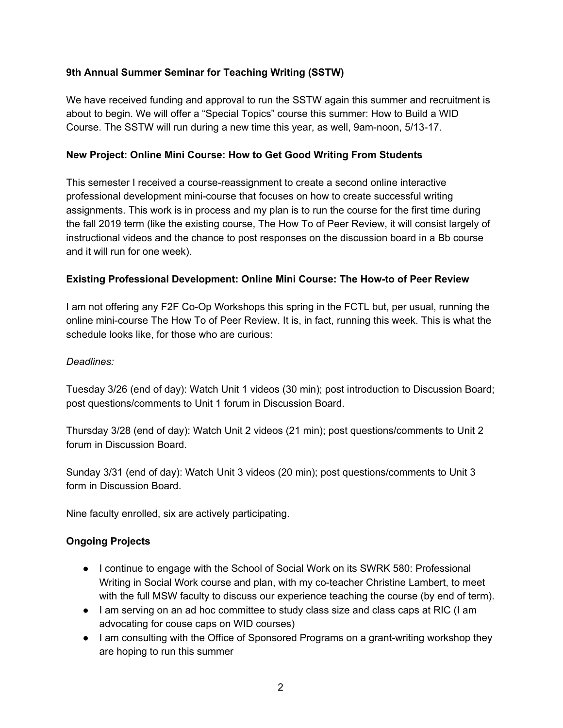# **9th Annual Summer Seminar for Teaching Writing (SSTW)**

We have received funding and approval to run the SSTW again this summer and recruitment is about to begin. We will offer a "Special Topics" course this summer: How to Build a WID Course. The SSTW will run during a new time this year, as well, 9am-noon, 5/13-17.

### **New Project: Online Mini Course: How to Get Good Writing From Students**

This semester I received a course-reassignment to create a second online interactive professional development mini-course that focuses on how to create successful writing assignments. This work is in process and my plan is to run the course for the first time during the fall 2019 term (like the existing course, The How To of Peer Review, it will consist largely of instructional videos and the chance to post responses on the discussion board in a Bb course and it will run for one week).

### **Existing Professional Development: Online Mini Course: The How-to of Peer Review**

I am not offering any F2F Co-Op Workshops this spring in the FCTL but, per usual, running the online mini-course The How To of Peer Review. It is, in fact, running this week. This is what the schedule looks like, for those who are curious:

#### *Deadlines:*

Tuesday 3/26 (end of day): Watch Unit 1 videos (30 min); post introduction to Discussion Board; post questions/comments to Unit 1 forum in Discussion Board.

Thursday 3/28 (end of day): Watch Unit 2 videos (21 min); post questions/comments to Unit 2 forum in Discussion Board.

Sunday 3/31 (end of day): Watch Unit 3 videos (20 min); post questions/comments to Unit 3 form in Discussion Board.

Nine faculty enrolled, six are actively participating.

### **Ongoing Projects**

- I continue to engage with the School of Social Work on its SWRK 580: Professional Writing in Social Work course and plan, with my co-teacher Christine Lambert, to meet with the full MSW faculty to discuss our experience teaching the course (by end of term).
- I am serving on an ad hoc committee to study class size and class caps at RIC (I am advocating for couse caps on WID courses)
- I am consulting with the Office of Sponsored Programs on a grant-writing workshop they are hoping to run this summer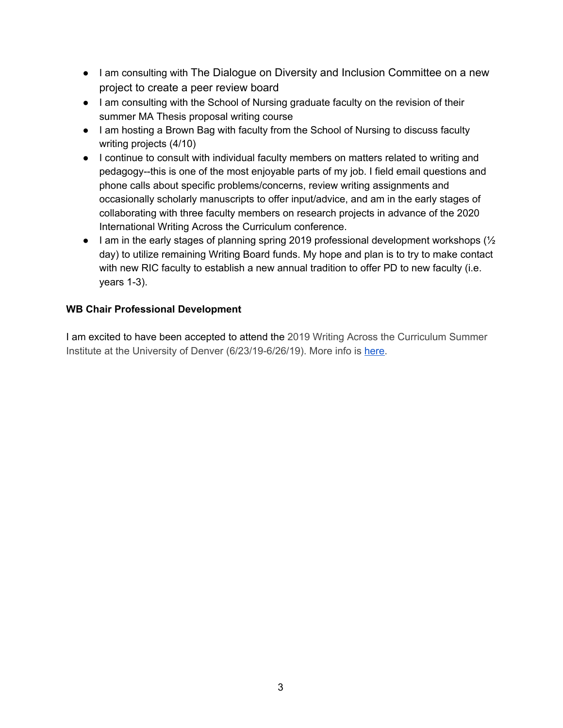- I am consulting with The Dialogue on Diversity and Inclusion Committee on a new project to create a peer review board
- I am consulting with the School of Nursing graduate faculty on the revision of their summer MA Thesis proposal writing course
- I am hosting a Brown Bag with faculty from the School of Nursing to discuss faculty writing projects (4/10)
- I continue to consult with individual faculty members on matters related to writing and pedagogy--this is one of the most enjoyable parts of my job. I field email questions and phone calls about specific problems/concerns, review writing assignments and occasionally scholarly manuscripts to offer input/advice, and am in the early stages of collaborating with three faculty members on research projects in advance of the 2020 International Writing Across the Curriculum conference.
- $\bullet$  I am in the early stages of planning spring 2019 professional development workshops ( $\frac{1}{2}$ ) day) to utilize remaining Writing Board funds. My hope and plan is to try to make contact with new RIC faculty to establish a new annual tradition to offer PD to new faculty (i.e. years 1-3).

# **WB Chair Professional Development**

I am excited to have been accepted to attend the 2019 Writing Across the Curriculum Summer Institute at the University of Denver (6/23/19-6/26/19). More info is [here](https://www.wacassociation.org/events/wac-summer-institute/#!event-register/2019/6/23/writing-across-the-curriculum-summer-institute).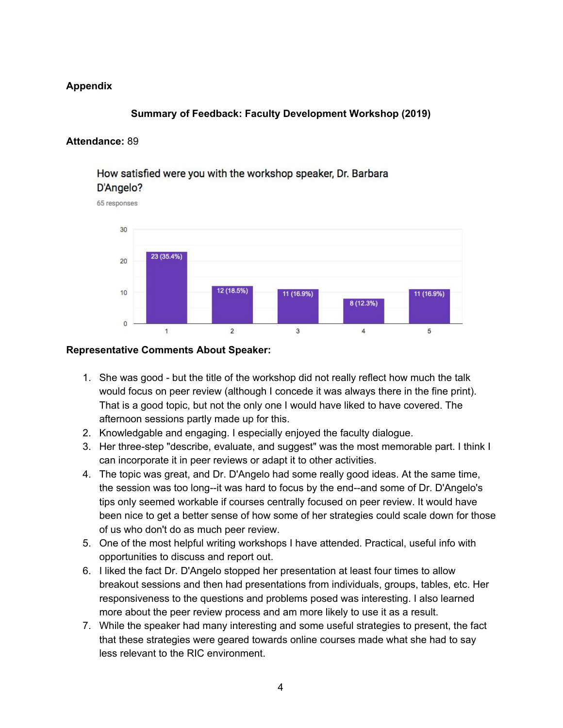## **Appendix**

### **Summary of Feedback: Faculty Development Workshop (2019)**

### **Attendance:** 89

# How satisfied were you with the workshop speaker, Dr. Barbara D'Angelo?

65 responses



#### **Representative Comments About Speaker:**

- 1. She was good but the title of the workshop did not really reflect how much the talk would focus on peer review (although I concede it was always there in the fine print). That is a good topic, but not the only one I would have liked to have covered. The afternoon sessions partly made up for this.
- 2. Knowledgable and engaging. I especially enjoyed the faculty dialogue.
- 3. Her three-step "describe, evaluate, and suggest" was the most memorable part. I think I can incorporate it in peer reviews or adapt it to other activities.
- 4. The topic was great, and Dr. D'Angelo had some really good ideas. At the same time, the session was too long--it was hard to focus by the end--and some of Dr. D'Angelo's tips only seemed workable if courses centrally focused on peer review. It would have been nice to get a better sense of how some of her strategies could scale down for those of us who don't do as much peer review.
- 5. One of the most helpful writing workshops I have attended. Practical, useful info with opportunities to discuss and report out.
- 6. I liked the fact Dr. D'Angelo stopped her presentation at least four times to allow breakout sessions and then had presentations from individuals, groups, tables, etc. Her responsiveness to the questions and problems posed was interesting. I also learned more about the peer review process and am more likely to use it as a result.
- 7. While the speaker had many interesting and some useful strategies to present, the fact that these strategies were geared towards online courses made what she had to say less relevant to the RIC environment.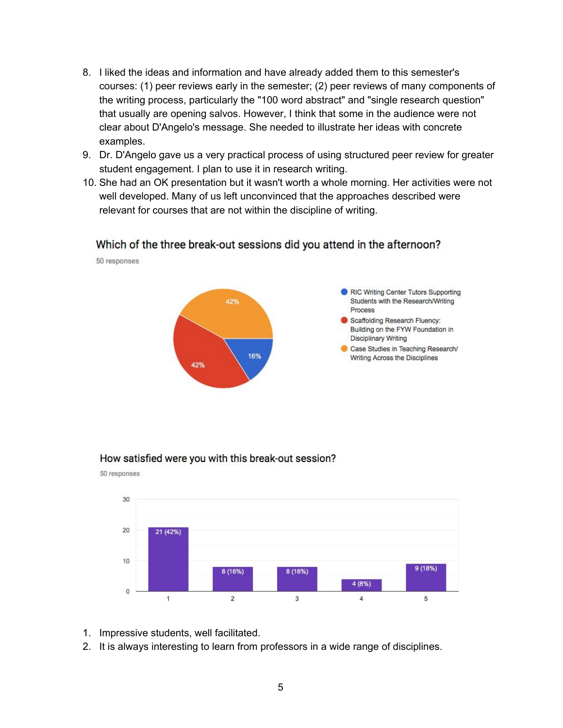- 8. I liked the ideas and information and have already added them to this semester's courses: (1) peer reviews early in the semester; (2) peer reviews of many components of the writing process, particularly the "100 word abstract" and "single research question" that usually are opening salvos. However, I think that some in the audience were not clear about D'Angelo's message. She needed to illustrate her ideas with concrete examples.
- 9. Dr. D'Angelo gave us a very practical process of using structured peer review for greater student engagement. I plan to use it in research writing.
- 10. She had an OK presentation but it wasn't worth a whole morning. Her activities were not well developed. Many of us left unconvinced that the approaches described were relevant for courses that are not within the discipline of writing.

### Which of the three break-out sessions did you attend in the afternoon?



#### How satisfied were you with this break-out session?



1. Impressive students, well facilitated.

50 responses

50 responses

2. It is always interesting to learn from professors in a wide range of disciplines.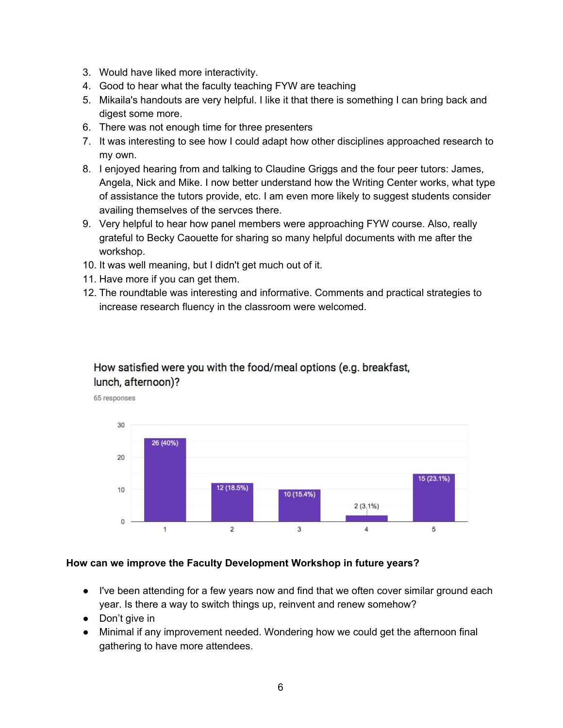- 3. Would have liked more interactivity.
- 4. Good to hear what the faculty teaching FYW are teaching
- 5. Mikaila's handouts are very helpful. I like it that there is something I can bring back and digest some more.
- 6. There was not enough time for three presenters
- 7. It was interesting to see how I could adapt how other disciplines approached research to my own.
- 8. I enjoyed hearing from and talking to Claudine Griggs and the four peer tutors: James, Angela, Nick and Mike. I now better understand how the Writing Center works, what type of assistance the tutors provide, etc. I am even more likely to suggest students consider availing themselves of the servces there.
- 9. Very helpful to hear how panel members were approaching FYW course. Also, really grateful to Becky Caouette for sharing so many helpful documents with me after the workshop.
- 10. It was well meaning, but I didn't get much out of it.
- 11. Have more if you can get them.
- 12. The roundtable was interesting and informative. Comments and practical strategies to increase research fluency in the classroom were welcomed.

# How satisfied were you with the food/meal options (e.g. breakfast, lunch, afternoon)?



#### **How can we improve the Faculty Development Workshop in future years?**

- I've been attending for a few years now and find that we often cover similar ground each year. Is there a way to switch things up, reinvent and renew somehow?
- Don't give in
- Minimal if any improvement needed. Wondering how we could get the afternoon final gathering to have more attendees.